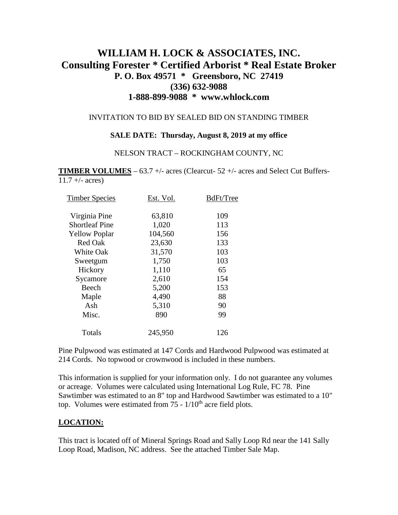# **WILLIAM H. LOCK & ASSOCIATES, INC. Consulting Forester \* Certified Arborist \* Real Estate Broker P. O. Box 49571 \* Greensboro, NC 27419 (336) 632-9088 1-888-899-9088 \* www.whlock.com**

### INVITATION TO BID BY SEALED BID ON STANDING TIMBER

### **SALE DATE: Thursday, August 8, 2019 at my office**

#### NELSON TRACT – ROCKINGHAM COUNTY, NC

**TIMBER VOLUMES** – 63.7 +/- acres (Clearcut- 52 +/- acres and Select Cut Buffers- $11.7 + (- \text{ acres})$ 

| <b>Timber Species</b> | Est. Vol. | BdFt/Tree |
|-----------------------|-----------|-----------|
| Virginia Pine         | 63,810    | 109       |
| <b>Shortleaf Pine</b> | 1,020     | 113       |
| <b>Yellow Poplar</b>  | 104,560   | 156       |
| <b>Red Oak</b>        | 23,630    | 133       |
| <b>White Oak</b>      | 31,570    | 103       |
| Sweetgum              | 1,750     | 103       |
| Hickory               | 1,110     | 65        |
| Sycamore              | 2,610     | 154       |
| Beech                 | 5,200     | 153       |
| Maple                 | 4,490     | 88        |
| Ash                   | 5,310     | 90        |
| Misc.                 | 890       | 99        |
| Totals                | 245,950   | 126       |
|                       |           |           |

Pine Pulpwood was estimated at 147 Cords and Hardwood Pulpwood was estimated at 214 Cords. No topwood or crownwood is included in these numbers.

This information is supplied for your information only. I do not guarantee any volumes or acreage. Volumes were calculated using International Log Rule, FC 78. Pine Sawtimber was estimated to an 8" top and Hardwood Sawtimber was estimated to a 10" top. Volumes were estimated from  $75 - 1/10$ <sup>th</sup> acre field plots.

### **LOCATION:**

This tract is located off of Mineral Springs Road and Sally Loop Rd near the 141 Sally Loop Road, Madison, NC address. See the attached Timber Sale Map.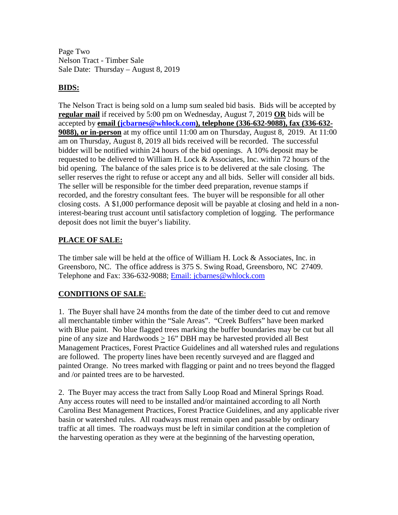Page Two Nelson Tract - Timber Sale Sale Date: Thursday – August 8, 2019

### **BIDS:**

The Nelson Tract is being sold on a lump sum sealed bid basis. Bids will be accepted by **regular mail** if received by 5:00 pm on Wednesday, August 7, 2019 **OR** bids will be accepted by **email [\(jcbarnes@whlock.com\)](mailto:jcbarnes@whlock.com), telephone (336-632-9088), fax (336-632- 9088), or in-person** at my office until 11:00 am on Thursday, August 8, 2019. At 11:00 am on Thursday, August 8, 2019 all bids received will be recorded. The successful bidder will be notified within 24 hours of the bid openings. A 10% deposit may be requested to be delivered to William H. Lock & Associates, Inc. within 72 hours of the bid opening. The balance of the sales price is to be delivered at the sale closing. The seller reserves the right to refuse or accept any and all bids. Seller will consider all bids. The seller will be responsible for the timber deed preparation, revenue stamps if recorded, and the forestry consultant fees. The buyer will be responsible for all other closing costs. A \$1,000 performance deposit will be payable at closing and held in a noninterest-bearing trust account until satisfactory completion of logging. The performance deposit does not limit the buyer's liability.

## **PLACE OF SALE:**

The timber sale will be held at the office of William H. Lock & Associates, Inc. in Greensboro, NC. The office address is 375 S. Swing Road, Greensboro, NC 27409. Telephone and Fax: 336-632-9088; [Email: jcbarnes@whlock.com](mailto:Email:%20jcbarnes@whlock.com) 

## **CONDITIONS OF SALE**:

1. The Buyer shall have 24 months from the date of the timber deed to cut and remove all merchantable timber within the "Sale Areas". "Creek Buffers" have been marked with Blue paint. No blue flagged trees marking the buffer boundaries may be cut but all pine of any size and Hardwoods  $\geq 16$ " DBH may be harvested provided all Best Management Practices, Forest Practice Guidelines and all watershed rules and regulations are followed. The property lines have been recently surveyed and are flagged and painted Orange. No trees marked with flagging or paint and no trees beyond the flagged and /or painted trees are to be harvested.

2. The Buyer may access the tract from Sally Loop Road and Mineral Springs Road. Any access routes will need to be installed and/or maintained according to all North Carolina Best Management Practices, Forest Practice Guidelines, and any applicable river basin or watershed rules. All roadways must remain open and passable by ordinary traffic at all times. The roadways must be left in similar condition at the completion of the harvesting operation as they were at the beginning of the harvesting operation,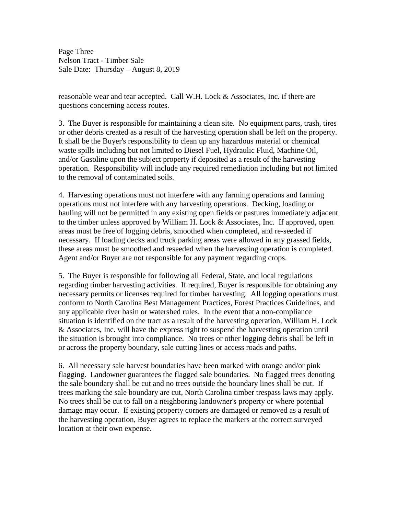Page Three Nelson Tract - Timber Sale Sale Date: Thursday – August 8, 2019

reasonable wear and tear accepted. Call W.H. Lock & Associates, Inc. if there are questions concerning access routes.

3. The Buyer is responsible for maintaining a clean site. No equipment parts, trash, tires or other debris created as a result of the harvesting operation shall be left on the property. It shall be the Buyer's responsibility to clean up any hazardous material or chemical waste spills including but not limited to Diesel Fuel, Hydraulic Fluid, Machine Oil, and/or Gasoline upon the subject property if deposited as a result of the harvesting operation. Responsibility will include any required remediation including but not limited to the removal of contaminated soils.

4. Harvesting operations must not interfere with any farming operations and farming operations must not interfere with any harvesting operations. Decking, loading or hauling will not be permitted in any existing open fields or pastures immediately adjacent to the timber unless approved by William H. Lock & Associates, Inc. If approved, open areas must be free of logging debris, smoothed when completed, and re-seeded if necessary. If loading decks and truck parking areas were allowed in any grassed fields, these areas must be smoothed and reseeded when the harvesting operation is completed. Agent and/or Buyer are not responsible for any payment regarding crops.

5. The Buyer is responsible for following all Federal, State, and local regulations regarding timber harvesting activities. If required, Buyer is responsible for obtaining any necessary permits or licenses required for timber harvesting. All logging operations must conform to North Carolina Best Management Practices, Forest Practices Guidelines, and any applicable river basin or watershed rules. In the event that a non-compliance situation is identified on the tract as a result of the harvesting operation, William H. Lock & Associates, Inc. will have the express right to suspend the harvesting operation until the situation is brought into compliance. No trees or other logging debris shall be left in or across the property boundary, sale cutting lines or access roads and paths.

6. All necessary sale harvest boundaries have been marked with orange and/or pink flagging. Landowner guarantees the flagged sale boundaries. No flagged trees denoting the sale boundary shall be cut and no trees outside the boundary lines shall be cut. If trees marking the sale boundary are cut, North Carolina timber trespass laws may apply. No trees shall be cut to fall on a neighboring landowner's property or where potential damage may occur. If existing property corners are damaged or removed as a result of the harvesting operation, Buyer agrees to replace the markers at the correct surveyed location at their own expense.